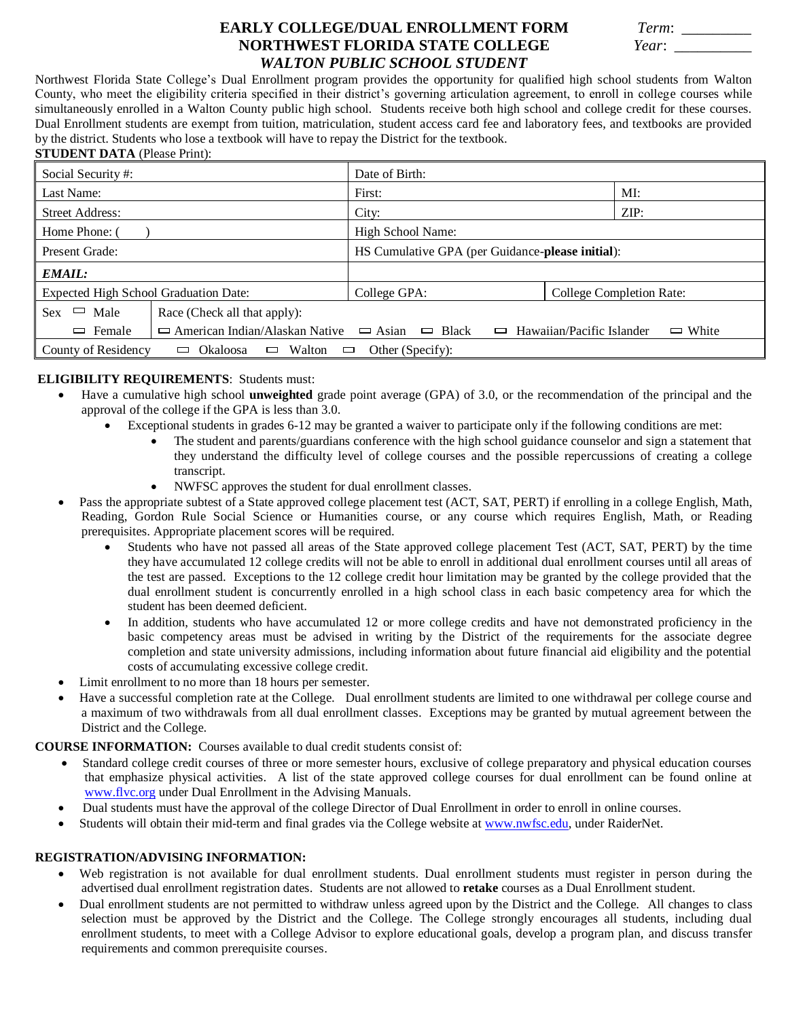# **EARLY COLLEGE/DUAL ENROLLMENT FORM NORTHWEST FLORIDA STATE COLLEGE** *WALTON PUBLIC SCHOOL STUDENT*

| Term: |  |
|-------|--|
| Year: |  |

Northwest Florida State College's Dual Enrollment program provides the opportunity for qualified high school students from Walton County, who meet the eligibility criteria specified in their district's governing articulation agreement, to enroll in college courses while simultaneously enrolled in a Walton County public high school. Students receive both high school and college credit for these courses. Dual Enrollment students are exempt from tuition, matriculation, student access card fee and laboratory fees, and textbooks are provided by the district. Students who lose a textbook will have to repay the District for the textbook.

#### **STUDENT DATA** (Please Print):

| Social Security #:                                                                       |                                                                                                                              | Date of Birth:                                   |                          |  |  |
|------------------------------------------------------------------------------------------|------------------------------------------------------------------------------------------------------------------------------|--------------------------------------------------|--------------------------|--|--|
| Last Name:                                                                               |                                                                                                                              | First:                                           | MI:                      |  |  |
| <b>Street Address:</b>                                                                   |                                                                                                                              | City:                                            | ZIP:                     |  |  |
| Home Phone: 0                                                                            |                                                                                                                              | High School Name:                                |                          |  |  |
| Present Grade:                                                                           |                                                                                                                              | HS Cumulative GPA (per Guidance-please initial): |                          |  |  |
| <b>EMAIL:</b>                                                                            |                                                                                                                              |                                                  |                          |  |  |
| Expected High School Graduation Date:                                                    |                                                                                                                              | College GPA:                                     | College Completion Rate: |  |  |
| Male<br>$\Box$<br><b>Sex</b>                                                             | Race (Check all that apply):                                                                                                 |                                                  |                          |  |  |
| Female<br>$\Box$                                                                         | $\Box$ American Indian/Alaskan Native<br>$\Box$ Black<br>Hawaiian/Pacific Islander<br>$\Box$ Asian<br>$\Box$ White<br>$\Box$ |                                                  |                          |  |  |
| County of Residency<br>Walton $\Box$<br>Okaloosa<br>Other (Specify):<br>$\Box$<br>$\Box$ |                                                                                                                              |                                                  |                          |  |  |

## **ELIGIBILITY REQUIREMENTS**: Students must:

- Have a cumulative high school **unweighted** grade point average (GPA) of 3.0, or the recommendation of the principal and the approval of the college if the GPA is less than 3.0.
	- Exceptional students in grades 6-12 may be granted a waiver to participate only if the following conditions are met:
		- The student and parents/guardians conference with the high school guidance counselor and sign a statement that they understand the difficulty level of college courses and the possible repercussions of creating a college transcript.
		- NWFSC approves the student for dual enrollment classes.
- Pass the appropriate subtest of a State approved college placement test (ACT, SAT, PERT) if enrolling in a college English, Math, Reading, Gordon Rule Social Science or Humanities course, or any course which requires English, Math, or Reading prerequisites. Appropriate placement scores will be required.
	- Students who have not passed all areas of the State approved college placement Test (ACT, SAT, PERT) by the time they have accumulated 12 college credits will not be able to enroll in additional dual enrollment courses until all areas of the test are passed. Exceptions to the 12 college credit hour limitation may be granted by the college provided that the dual enrollment student is concurrently enrolled in a high school class in each basic competency area for which the student has been deemed deficient.
	- In addition, students who have accumulated 12 or more college credits and have not demonstrated proficiency in the basic competency areas must be advised in writing by the District of the requirements for the associate degree completion and state university admissions, including information about future financial aid eligibility and the potential costs of accumulating excessive college credit.
- Limit enrollment to no more than 18 hours per semester.
- Have a successful completion rate at the College. Dual enrollment students are limited to one withdrawal per college course and a maximum of two withdrawals from all dual enrollment classes. Exceptions may be granted by mutual agreement between the District and the College.

**COURSE INFORMATION:** Courses available to dual credit students consist of:

- Standard college credit courses of three or more semester hours, exclusive of college preparatory and physical education courses that emphasize physical activities. A list of the state approved college courses for dual enrollment can be found online at [www.flvc.org](http://www.flvc.org/) under Dual Enrollment in the Advising Manuals.
- Dual students must have the approval of the college Director of Dual Enrollment in order to enroll in online courses.
- Students will obtain their mid-term and final grades via the College website at [www.nwfsc.edu,](http://www.nwfsc.edu/) under RaiderNet.

### **REGISTRATION/ADVISING INFORMATION:**

- Web registration is not available for dual enrollment students. Dual enrollment students must register in person during the advertised dual enrollment registration dates. Students are not allowed to **retake** courses as a Dual Enrollment student.
- Dual enrollment students are not permitted to withdraw unless agreed upon by the District and the College. All changes to class selection must be approved by the District and the College. The College strongly encourages all students, including dual enrollment students, to meet with a College Advisor to explore educational goals, develop a program plan, and discuss transfer requirements and common prerequisite courses.